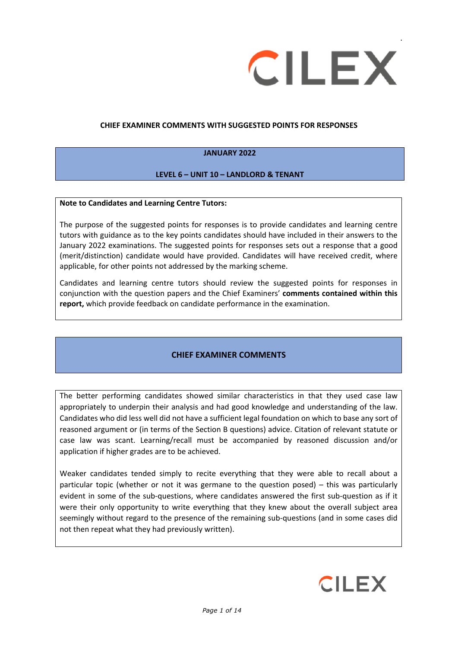

#### **CHIEF EXAMINER COMMENTS WITH SUGGESTED POINTS FOR RESPONSES**

#### **JANUARY 2022**

#### **LEVEL 6 – UNIT 10 – LANDLORD & TENANT**

#### **Note to Candidates and Learning Centre Tutors:**

The purpose of the suggested points for responses is to provide candidates and learning centre tutors with guidance as to the key points candidates should have included in their answers to the January 2022 examinations. The suggested points for responses sets out a response that a good (merit/distinction) candidate would have provided. Candidates will have received credit, where applicable, for other points not addressed by the marking scheme.

Candidates and learning centre tutors should review the suggested points for responses in conjunction with the question papers and the Chief Examiners' **comments contained within this report,** which provide feedback on candidate performance in the examination.

### **CHIEF EXAMINER COMMENTS**

The better performing candidates showed similar characteristics in that they used case law appropriately to underpin their analysis and had good knowledge and understanding of the law. Candidates who did less well did not have a sufficient legal foundation on which to base any sort of reasoned argument or (in terms of the Section B questions) advice. Citation of relevant statute or case law was scant. Learning/recall must be accompanied by reasoned discussion and/or application if higher grades are to be achieved.

Weaker candidates tended simply to recite everything that they were able to recall about a particular topic (whether or not it was germane to the question posed) – this was particularly evident in some of the sub-questions, where candidates answered the first sub-question as if it were their only opportunity to write everything that they knew about the overall subject area seemingly without regard to the presence of the remaining sub-questions (and in some cases did not then repeat what they had previously written).

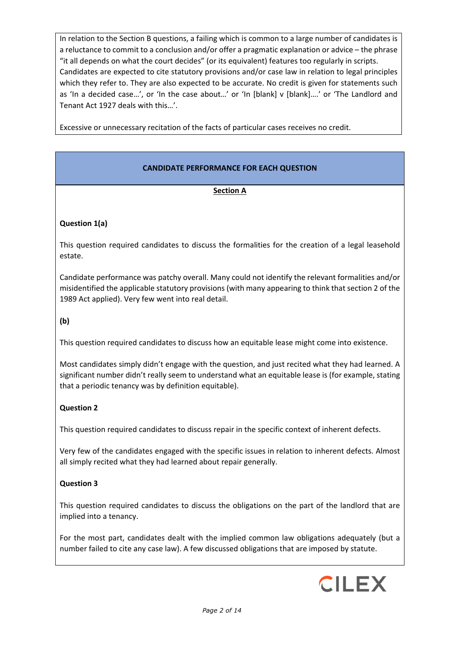In relation to the Section B questions, a failing which is common to a large number of candidates is a reluctance to commit to a conclusion and/or offer a pragmatic explanation or advice – the phrase "it all depends on what the court decides" (or its equivalent) features too regularly in scripts. Candidates are expected to cite statutory provisions and/or case law in relation to legal principles which they refer to. They are also expected to be accurate. No credit is given for statements such as 'In a decided case…', or 'In the case about…' or 'In [blank] v [blank]….' or 'The Landlord and Tenant Act 1927 deals with this…'.

Excessive or unnecessary recitation of the facts of particular cases receives no credit.

## **CANDIDATE PERFORMANCE FOR EACH QUESTION**

#### **Section A**

#### **Question 1(a)**

This question required candidates to discuss the formalities for the creation of a legal leasehold estate.

Candidate performance was patchy overall. Many could not identify the relevant formalities and/or misidentified the applicable statutory provisions (with many appearing to think that section 2 of the 1989 Act applied). Very few went into real detail.

**(b)**

This question required candidates to discuss how an equitable lease might come into existence.

Most candidates simply didn't engage with the question, and just recited what they had learned. A significant number didn't really seem to understand what an equitable lease is (for example, stating that a periodic tenancy was by definition equitable).

#### **Question 2**

This question required candidates to discuss repair in the specific context of inherent defects.

Very few of the candidates engaged with the specific issues in relation to inherent defects. Almost all simply recited what they had learned about repair generally.

### **Question 3**

This question required candidates to discuss the obligations on the part of the landlord that are implied into a tenancy.

For the most part, candidates dealt with the implied common law obligations adequately (but a number failed to cite any case law). A few discussed obligations that are imposed by statute.

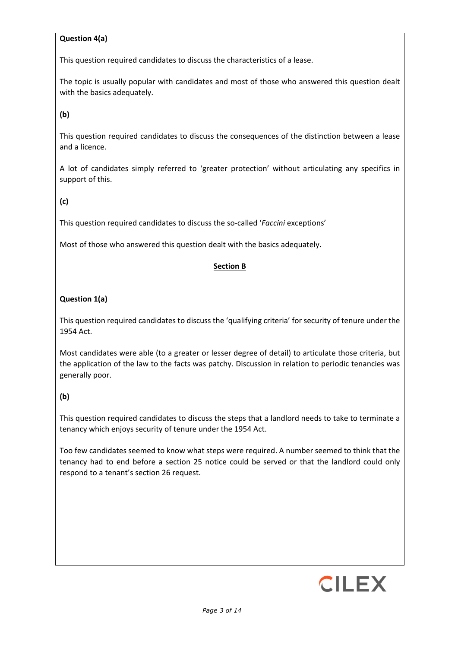## **Question 4(a)**

This question required candidates to discuss the characteristics of a lease.

The topic is usually popular with candidates and most of those who answered this question dealt with the basics adequately.

## **(b)**

This question required candidates to discuss the consequences of the distinction between a lease and a licence.

A lot of candidates simply referred to 'greater protection' without articulating any specifics in support of this.

**(c)**

This question required candidates to discuss the so-called '*Faccini* exceptions'

Most of those who answered this question dealt with the basics adequately.

#### **Section B**

### **Question 1(a)**

This question required candidates to discuss the 'qualifying criteria' for security of tenure under the 1954 Act.

Most candidates were able (to a greater or lesser degree of detail) to articulate those criteria, but the application of the law to the facts was patchy. Discussion in relation to periodic tenancies was generally poor.

### **(b)**

This question required candidates to discuss the steps that a landlord needs to take to terminate a tenancy which enjoys security of tenure under the 1954 Act.

Too few candidates seemed to know what steps were required. A number seemed to think that the tenancy had to end before a section 25 notice could be served or that the landlord could only respond to a tenant's section 26 request.

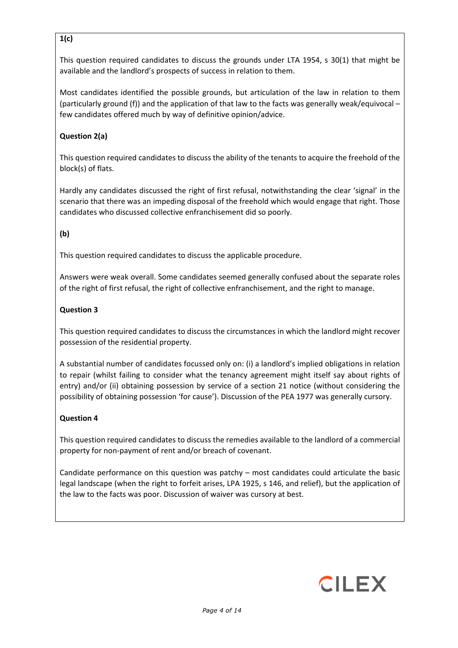## **1(c)**

This question required candidates to discuss the grounds under LTA 1954, s 30(1) that might be available and the landlord's prospects of success in relation to them.

Most candidates identified the possible grounds, but articulation of the law in relation to them (particularly ground (f)) and the application of that law to the facts was generally weak/equivocal – few candidates offered much by way of definitive opinion/advice.

## **Question 2(a)**

This question required candidates to discuss the ability of the tenants to acquire the freehold of the block(s) of flats.

Hardly any candidates discussed the right of first refusal, notwithstanding the clear 'signal' in the scenario that there was an impeding disposal of the freehold which would engage that right. Those candidates who discussed collective enfranchisement did so poorly.

## **(b)**

This question required candidates to discuss the applicable procedure.

Answers were weak overall. Some candidates seemed generally confused about the separate roles of the right of first refusal, the right of collective enfranchisement, and the right to manage.

## **Question 3**

This question required candidates to discuss the circumstances in which the landlord might recover possession of the residential property.

A substantial number of candidates focussed only on: (i) a landlord's implied obligations in relation to repair (whilst failing to consider what the tenancy agreement might itself say about rights of entry) and/or (ii) obtaining possession by service of a section 21 notice (without considering the possibility of obtaining possession 'for cause'). Discussion of the PEA 1977 was generally cursory.

### **Question 4**

This question required candidates to discuss the remedies available to the landlord of a commercial property for non-payment of rent and/or breach of covenant.

Candidate performance on this question was patchy – most candidates could articulate the basic legal landscape (when the right to forfeit arises, LPA 1925, s 146, and relief), but the application of the law to the facts was poor. Discussion of waiver was cursory at best.

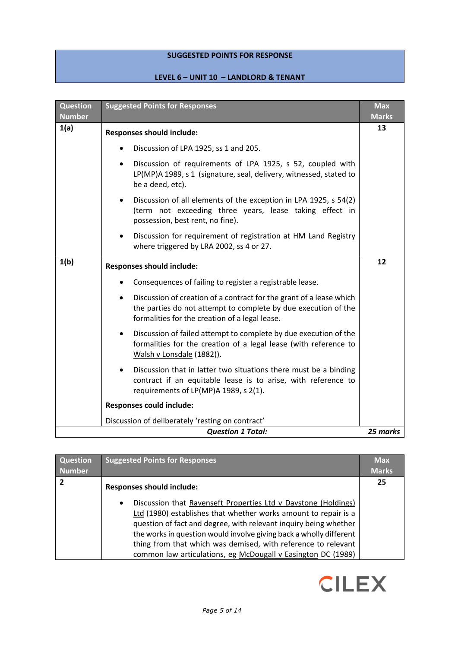## **SUGGESTED POINTS FOR RESPONSE**

# **LEVEL 6 – UNIT 10 – LANDLORD & TENANT**

| <b>Question</b><br><b>Number</b> | <b>Suggested Points for Responses</b>                                                                                                                                                                | <b>Max</b><br><b>Marks</b> |
|----------------------------------|------------------------------------------------------------------------------------------------------------------------------------------------------------------------------------------------------|----------------------------|
| 1(a)                             | <b>Responses should include:</b>                                                                                                                                                                     | 13                         |
|                                  | Discussion of LPA 1925, ss 1 and 205.                                                                                                                                                                |                            |
|                                  | Discussion of requirements of LPA 1925, s 52, coupled with<br>$\bullet$<br>LP(MP)A 1989, s 1 (signature, seal, delivery, witnessed, stated to<br>be a deed, etc).                                    |                            |
|                                  | Discussion of all elements of the exception in LPA 1925, s 54(2)<br>$\bullet$<br>(term not exceeding three years, lease taking effect in<br>possession, best rent, no fine).                         |                            |
|                                  | Discussion for requirement of registration at HM Land Registry<br>$\bullet$<br>where triggered by LRA 2002, ss 4 or 27.                                                                              |                            |
| 1(b)                             | <b>Responses should include:</b>                                                                                                                                                                     | 12                         |
|                                  | Consequences of failing to register a registrable lease.                                                                                                                                             |                            |
|                                  | Discussion of creation of a contract for the grant of a lease which<br>$\bullet$<br>the parties do not attempt to complete by due execution of the<br>formalities for the creation of a legal lease. |                            |
|                                  | Discussion of failed attempt to complete by due execution of the<br>$\bullet$<br>formalities for the creation of a legal lease (with reference to<br>Walsh v Lonsdale (1882)).                       |                            |
|                                  | Discussion that in latter two situations there must be a binding<br>$\bullet$<br>contract if an equitable lease is to arise, with reference to<br>requirements of LP(MP)A 1989, s 2(1).              |                            |
|                                  | <b>Responses could include:</b>                                                                                                                                                                      |                            |
|                                  | Discussion of deliberately 'resting on contract'                                                                                                                                                     |                            |
|                                  | <b>Question 1 Total:</b>                                                                                                                                                                             | 25 marks                   |

| Question<br><b>Number</b> | <b>Suggested Points for Responses</b>                                                                                                                                                                                                                                                                                                                                                                                     | <b>Max</b><br><b>Marks</b> |
|---------------------------|---------------------------------------------------------------------------------------------------------------------------------------------------------------------------------------------------------------------------------------------------------------------------------------------------------------------------------------------------------------------------------------------------------------------------|----------------------------|
| $\overline{2}$            | <b>Responses should include:</b>                                                                                                                                                                                                                                                                                                                                                                                          | 25                         |
|                           | Discussion that Ravenseft Properties Ltd v Davstone (Holdings)<br>$\bullet$<br>Ltd (1980) establishes that whether works amount to repair is a<br>question of fact and degree, with relevant inquiry being whether<br>the works in question would involve giving back a wholly different<br>thing from that which was demised, with reference to relevant<br>common law articulations, eg McDougall v Easington DC (1989) |                            |

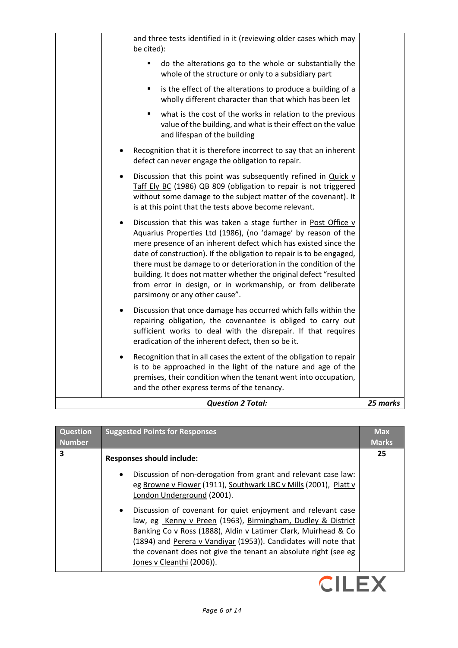| <b>Question 2 Total:</b>                                                                                                                                                                                                                                                                                                                                                                                                                                                                                                    | 25 marks |
|-----------------------------------------------------------------------------------------------------------------------------------------------------------------------------------------------------------------------------------------------------------------------------------------------------------------------------------------------------------------------------------------------------------------------------------------------------------------------------------------------------------------------------|----------|
| Recognition that in all cases the extent of the obligation to repair<br>is to be approached in the light of the nature and age of the<br>premises, their condition when the tenant went into occupation,<br>and the other express terms of the tenancy.                                                                                                                                                                                                                                                                     |          |
| Discussion that once damage has occurred which falls within the<br>repairing obligation, the covenantee is obliged to carry out<br>sufficient works to deal with the disrepair. If that requires<br>eradication of the inherent defect, then so be it.                                                                                                                                                                                                                                                                      |          |
| Discussion that this was taken a stage further in Post Office v<br>٠<br>Aquarius Properties Ltd (1986), (no 'damage' by reason of the<br>mere presence of an inherent defect which has existed since the<br>date of construction). If the obligation to repair is to be engaged,<br>there must be damage to or deterioration in the condition of the<br>building. It does not matter whether the original defect "resulted<br>from error in design, or in workmanship, or from deliberate<br>parsimony or any other cause". |          |
| Discussion that this point was subsequently refined in Quick v<br>$\bullet$<br>Taff Ely BC (1986) QB 809 (obligation to repair is not triggered<br>without some damage to the subject matter of the covenant). It<br>is at this point that the tests above become relevant.                                                                                                                                                                                                                                                 |          |
| Recognition that it is therefore incorrect to say that an inherent<br>defect can never engage the obligation to repair.                                                                                                                                                                                                                                                                                                                                                                                                     |          |
| what is the cost of the works in relation to the previous<br>٠<br>value of the building, and what is their effect on the value<br>and lifespan of the building                                                                                                                                                                                                                                                                                                                                                              |          |
| is the effect of the alterations to produce a building of a<br>٠<br>wholly different character than that which has been let                                                                                                                                                                                                                                                                                                                                                                                                 |          |
| do the alterations go to the whole or substantially the<br>٠<br>whole of the structure or only to a subsidiary part                                                                                                                                                                                                                                                                                                                                                                                                         |          |
| and three tests identified in it (reviewing older cases which may<br>be cited):                                                                                                                                                                                                                                                                                                                                                                                                                                             |          |

| Question<br><b>Number</b> | <b>Suggested Points for Responses</b>                                                                                                                                                                                                                                                                                                                                                                                                                                                                                                                                                              | <b>Max</b><br><b>Marks</b> |
|---------------------------|----------------------------------------------------------------------------------------------------------------------------------------------------------------------------------------------------------------------------------------------------------------------------------------------------------------------------------------------------------------------------------------------------------------------------------------------------------------------------------------------------------------------------------------------------------------------------------------------------|----------------------------|
| 3                         | <b>Responses should include:</b><br>Discussion of non-derogation from grant and relevant case law:<br>$\bullet$<br>eg Browne v Flower (1911), Southwark LBC v Mills (2001), Platt v<br>London Underground (2001).<br>Discussion of covenant for quiet enjoyment and relevant case<br>$\bullet$<br>law, eg Kenny v Preen (1963), Birmingham, Dudley & District<br>Banking Co v Ross (1888), Aldin v Latimer Clark, Muirhead & Co<br>(1894) and Perera v Vandiyar (1953)). Candidates will note that<br>the covenant does not give the tenant an absolute right (see eg<br>Jones v Cleanthi (2006)). | 25                         |

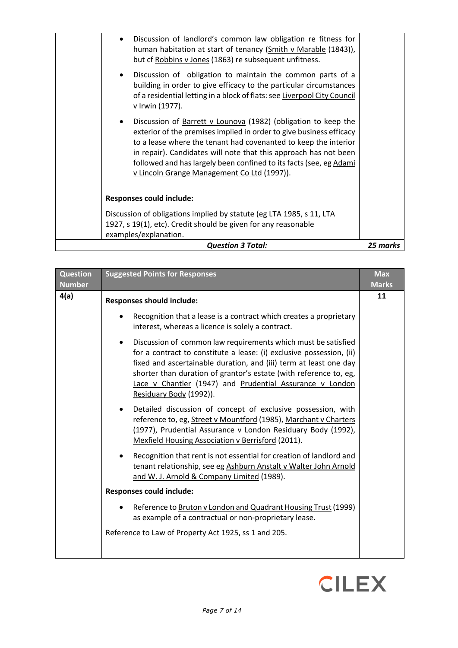| <b>Question 3 Total:</b>                                                                                                                                                                                                                                                                                                                                                                                       | 25 marks |  |
|----------------------------------------------------------------------------------------------------------------------------------------------------------------------------------------------------------------------------------------------------------------------------------------------------------------------------------------------------------------------------------------------------------------|----------|--|
| examples/explanation.                                                                                                                                                                                                                                                                                                                                                                                          |          |  |
| 1927, s 19(1), etc). Credit should be given for any reasonable                                                                                                                                                                                                                                                                                                                                                 |          |  |
| Discussion of obligations implied by statute (eg LTA 1985, s 11, LTA                                                                                                                                                                                                                                                                                                                                           |          |  |
| <b>Responses could include:</b>                                                                                                                                                                                                                                                                                                                                                                                |          |  |
| Discussion of Barrett v Lounova (1982) (obligation to keep the<br>$\bullet$<br>exterior of the premises implied in order to give business efficacy<br>to a lease where the tenant had covenanted to keep the interior<br>in repair). Candidates will note that this approach has not been<br>followed and has largely been confined to its facts (see, eg Adami<br>v Lincoln Grange Management Co Ltd (1997)). |          |  |
| Discussion of obligation to maintain the common parts of a<br>$\bullet$<br>building in order to give efficacy to the particular circumstances<br>of a residential letting in a block of flats: see Liverpool City Council<br>v Irwin (1977).                                                                                                                                                                   |          |  |
| Discussion of landlord's common law obligation re fitness for<br>$\bullet$<br>human habitation at start of tenancy (Smith v Marable (1843)),<br>but cf Robbins v Jones (1863) re subsequent unfitness.                                                                                                                                                                                                         |          |  |

| <b>Question</b><br><b>Number</b> | <b>Suggested Points for Responses</b>                                                                                                                                                                                                                                                                                                                                               | <b>Max</b><br><b>Marks</b> |
|----------------------------------|-------------------------------------------------------------------------------------------------------------------------------------------------------------------------------------------------------------------------------------------------------------------------------------------------------------------------------------------------------------------------------------|----------------------------|
| 4(a)                             | <b>Responses should include:</b>                                                                                                                                                                                                                                                                                                                                                    | 11                         |
|                                  | Recognition that a lease is a contract which creates a proprietary<br>interest, whereas a licence is solely a contract.                                                                                                                                                                                                                                                             |                            |
|                                  | Discussion of common law requirements which must be satisfied<br>$\bullet$<br>for a contract to constitute a lease: (i) exclusive possession, (ii)<br>fixed and ascertainable duration, and (iii) term at least one day<br>shorter than duration of grantor's estate (with reference to, eg,<br>Lace v Chantler (1947) and Prudential Assurance v London<br>Residuary Body (1992)). |                            |
|                                  | Detailed discussion of concept of exclusive possession, with<br>$\bullet$<br>reference to, eg, Street v Mountford (1985), Marchant v Charters<br>(1977), Prudential Assurance v London Residuary Body (1992),<br><b>Mexfield Housing Association v Berrisford (2011).</b>                                                                                                           |                            |
|                                  | Recognition that rent is not essential for creation of landlord and<br>tenant relationship, see eg Ashburn Anstalt v Walter John Arnold<br>and W. J. Arnold & Company Limited (1989).                                                                                                                                                                                               |                            |
|                                  | <b>Responses could include:</b>                                                                                                                                                                                                                                                                                                                                                     |                            |
|                                  | Reference to Bruton v London and Quadrant Housing Trust (1999)<br>as example of a contractual or non-proprietary lease.                                                                                                                                                                                                                                                             |                            |
|                                  | Reference to Law of Property Act 1925, ss 1 and 205.                                                                                                                                                                                                                                                                                                                                |                            |

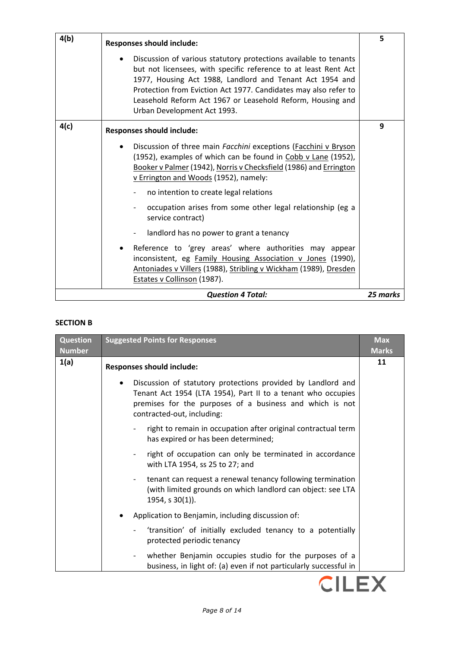| 4(b) | <b>Responses should include:</b>                                                                                                                                                                                                                                                                                                                                | 5        |
|------|-----------------------------------------------------------------------------------------------------------------------------------------------------------------------------------------------------------------------------------------------------------------------------------------------------------------------------------------------------------------|----------|
|      | Discussion of various statutory protections available to tenants<br>but not licensees, with specific reference to at least Rent Act<br>1977, Housing Act 1988, Landlord and Tenant Act 1954 and<br>Protection from Eviction Act 1977. Candidates may also refer to<br>Leasehold Reform Act 1967 or Leasehold Reform, Housing and<br>Urban Development Act 1993. |          |
| 4(c) | <b>Responses should include:</b>                                                                                                                                                                                                                                                                                                                                | 9        |
|      | Discussion of three main Facchini exceptions (Facchini v Bryson<br>(1952), examples of which can be found in Cobb v Lane (1952),<br>Booker v Palmer (1942), Norris v Checksfield (1986) and Errington<br>v Errington and Woods (1952), namely:                                                                                                                  |          |
|      | no intention to create legal relations                                                                                                                                                                                                                                                                                                                          |          |
|      | occupation arises from some other legal relationship (eg a<br>service contract)                                                                                                                                                                                                                                                                                 |          |
|      | landlord has no power to grant a tenancy                                                                                                                                                                                                                                                                                                                        |          |
|      | Reference to 'grey areas' where authorities may appear<br>inconsistent, eg Family Housing Association v Jones (1990),<br>Antoniades v Villers (1988), Stribling v Wickham (1989), Dresden<br>Estates v Collinson (1987).                                                                                                                                        |          |
|      | <b>Question 4 Total:</b>                                                                                                                                                                                                                                                                                                                                        | 25 marks |

### **SECTION B**

| <b>Question</b><br><b>Number</b> | <b>Suggested Points for Responses</b>                                                                                                                                                                                               | <b>Max</b><br><b>Marks</b> |
|----------------------------------|-------------------------------------------------------------------------------------------------------------------------------------------------------------------------------------------------------------------------------------|----------------------------|
| 1(a)                             | <b>Responses should include:</b>                                                                                                                                                                                                    | 11                         |
|                                  | Discussion of statutory protections provided by Landlord and<br>$\bullet$<br>Tenant Act 1954 (LTA 1954), Part II to a tenant who occupies<br>premises for the purposes of a business and which is not<br>contracted-out, including: |                            |
|                                  | right to remain in occupation after original contractual term<br>has expired or has been determined;                                                                                                                                |                            |
|                                  | right of occupation can only be terminated in accordance<br>with LTA 1954, ss 25 to 27; and                                                                                                                                         |                            |
|                                  | tenant can request a renewal tenancy following termination<br>(with limited grounds on which landlord can object: see LTA<br>$1954, s 30(1)$ ).                                                                                     |                            |
|                                  | Application to Benjamin, including discussion of:<br>$\bullet$                                                                                                                                                                      |                            |
|                                  | 'transition' of initially excluded tenancy to a potentially<br>protected periodic tenancy                                                                                                                                           |                            |
|                                  | whether Benjamin occupies studio for the purposes of a<br>business, in light of: (a) even if not particularly successful in                                                                                                         |                            |

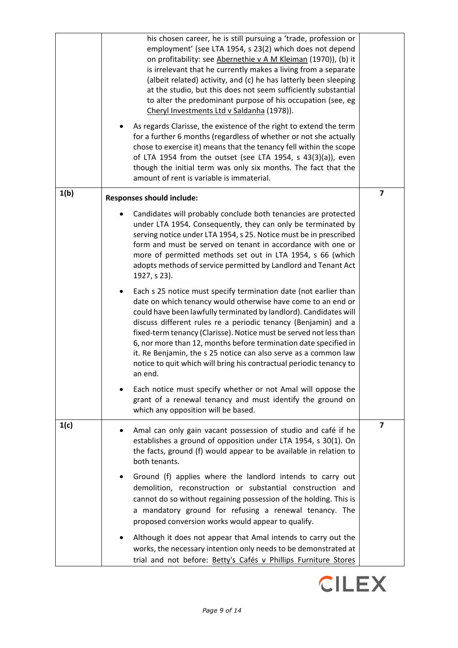|      | his chosen career, he is still pursuing a 'trade, profession or<br>employment' (see LTA 1954, s 23(2) which does not depend<br>on profitability: see Abernethie v A M Kleiman (1970)), (b) it<br>is irrelevant that he currently makes a living from a separate<br>(albeit related) activity, and (c) he has latterly been sleeping<br>at the studio, but this does not seem sufficiently substantial<br>to alter the predominant purpose of his occupation (see, eg<br>Cheryl Investments Ltd v Saldanha (1978)).<br>As regards Clarisse, the existence of the right to extend the term<br>for a further 6 months (regardless of whether or not she actually<br>chose to exercise it) means that the tenancy fell within the scope<br>of LTA 1954 from the outset (see LTA 1954, s 43(3)(a)), even<br>though the initial term was only six months. The fact that the<br>amount of rent is variable is immaterial. |                         |
|------|--------------------------------------------------------------------------------------------------------------------------------------------------------------------------------------------------------------------------------------------------------------------------------------------------------------------------------------------------------------------------------------------------------------------------------------------------------------------------------------------------------------------------------------------------------------------------------------------------------------------------------------------------------------------------------------------------------------------------------------------------------------------------------------------------------------------------------------------------------------------------------------------------------------------|-------------------------|
| 1(b) | <b>Responses should include:</b>                                                                                                                                                                                                                                                                                                                                                                                                                                                                                                                                                                                                                                                                                                                                                                                                                                                                                   | $\overline{\mathbf{z}}$ |
|      | Candidates will probably conclude both tenancies are protected<br>under LTA 1954. Consequently, they can only be terminated by<br>serving notice under LTA 1954, s 25. Notice must be in prescribed<br>form and must be served on tenant in accordance with one or<br>more of permitted methods set out in LTA 1954, s 66 (which<br>adopts methods of service permitted by Landlord and Tenant Act<br>1927, s 23).                                                                                                                                                                                                                                                                                                                                                                                                                                                                                                 |                         |
|      | Each s 25 notice must specify termination date (not earlier than<br>date on which tenancy would otherwise have come to an end or<br>could have been lawfully terminated by landlord). Candidates will<br>discuss different rules re a periodic tenancy (Benjamin) and a<br>fixed-term tenancy (Clarisse). Notice must be served not less than<br>6, nor more than 12, months before termination date specified in<br>it. Re Benjamin, the s 25 notice can also serve as a common law<br>notice to quit which will bring his contractual periodic tenancy to<br>an end.                                                                                                                                                                                                                                                                                                                                             |                         |
|      | Each notice must specify whether or not Amal will oppose the<br>grant of a renewal tenancy and must identify the ground on<br>which any opposition will be based.                                                                                                                                                                                                                                                                                                                                                                                                                                                                                                                                                                                                                                                                                                                                                  |                         |
| 1(c) | Amal can only gain vacant possession of studio and café if he<br>establishes a ground of opposition under LTA 1954, s 30(1). On<br>the facts, ground (f) would appear to be available in relation to<br>both tenants.                                                                                                                                                                                                                                                                                                                                                                                                                                                                                                                                                                                                                                                                                              | 7                       |
|      | Ground (f) applies where the landlord intends to carry out<br>demolition, reconstruction or substantial construction and<br>cannot do so without regaining possession of the holding. This is<br>a mandatory ground for refusing a renewal tenancy. The<br>proposed conversion works would appear to qualify.                                                                                                                                                                                                                                                                                                                                                                                                                                                                                                                                                                                                      |                         |
|      | Although it does not appear that Amal intends to carry out the<br>works, the necessary intention only needs to be demonstrated at<br>trial and not before: Betty's Cafés v Phillips Furniture Stores                                                                                                                                                                                                                                                                                                                                                                                                                                                                                                                                                                                                                                                                                                               |                         |

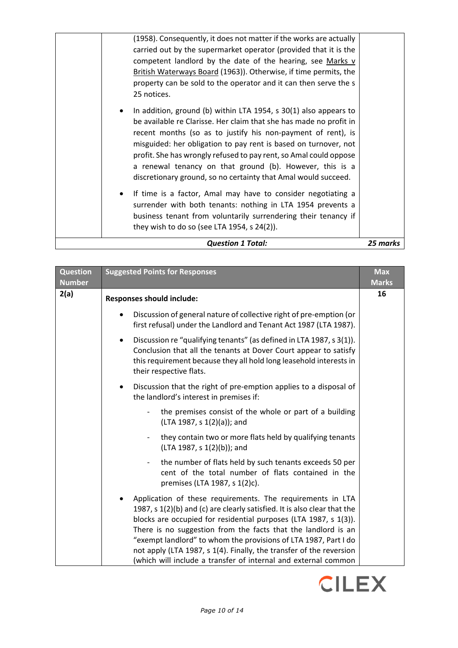| profit. She has wrongly refused to pay rent, so Amal could oppose<br>a renewal tenancy on that ground (b). However, this is a<br>discretionary ground, so no certainty that Amal would succeed.<br>If time is a factor, Amal may have to consider negotiating a<br>$\bullet$<br>surrender with both tenants: nothing in LTA 1954 prevents a<br>business tenant from voluntarily surrendering their tenancy if<br>they wish to do so (see LTA 1954, s $24(2)$ ). |
|-----------------------------------------------------------------------------------------------------------------------------------------------------------------------------------------------------------------------------------------------------------------------------------------------------------------------------------------------------------------------------------------------------------------------------------------------------------------|
|                                                                                                                                                                                                                                                                                                                                                                                                                                                                 |
| In addition, ground (b) within LTA 1954, s 30(1) also appears to<br>$\bullet$<br>be available re Clarisse. Her claim that she has made no profit in<br>recent months (so as to justify his non-payment of rent), is<br>misguided: her obligation to pay rent is based on turnover, not                                                                                                                                                                          |
| (1958). Consequently, it does not matter if the works are actually<br>carried out by the supermarket operator (provided that it is the<br>competent landlord by the date of the hearing, see Marks v<br>British Waterways Board (1963)). Otherwise, if time permits, the<br>property can be sold to the operator and it can then serve the s<br>25 notices.                                                                                                     |

| Question<br><b>Number</b> | <b>Suggested Points for Responses</b>                                                                                                                                                                                                                                                                                                                                                                                                                                                   | <b>Max</b><br><b>Marks</b> |
|---------------------------|-----------------------------------------------------------------------------------------------------------------------------------------------------------------------------------------------------------------------------------------------------------------------------------------------------------------------------------------------------------------------------------------------------------------------------------------------------------------------------------------|----------------------------|
| 2(a)                      | <b>Responses should include:</b>                                                                                                                                                                                                                                                                                                                                                                                                                                                        | 16                         |
|                           | Discussion of general nature of collective right of pre-emption (or<br>first refusal) under the Landlord and Tenant Act 1987 (LTA 1987).                                                                                                                                                                                                                                                                                                                                                |                            |
|                           | Discussion re "qualifying tenants" (as defined in LTA 1987, s 3(1)).<br>Conclusion that all the tenants at Dover Court appear to satisfy<br>this requirement because they all hold long leasehold interests in<br>their respective flats.                                                                                                                                                                                                                                               |                            |
|                           | Discussion that the right of pre-emption applies to a disposal of<br>the landlord's interest in premises if:                                                                                                                                                                                                                                                                                                                                                                            |                            |
|                           | the premises consist of the whole or part of a building<br>(LTA 1987, s 1(2)(a)); and                                                                                                                                                                                                                                                                                                                                                                                                   |                            |
|                           | they contain two or more flats held by qualifying tenants<br>(LTA 1987, s 1(2)(b)); and                                                                                                                                                                                                                                                                                                                                                                                                 |                            |
|                           | the number of flats held by such tenants exceeds 50 per<br>cent of the total number of flats contained in the<br>premises (LTA 1987, s 1(2)c).                                                                                                                                                                                                                                                                                                                                          |                            |
|                           | Application of these requirements. The requirements in LTA<br>1987, s 1(2)(b) and (c) are clearly satisfied. It is also clear that the<br>blocks are occupied for residential purposes (LTA 1987, s 1(3)).<br>There is no suggestion from the facts that the landlord is an<br>"exempt landlord" to whom the provisions of LTA 1987, Part I do<br>not apply (LTA 1987, s 1(4). Finally, the transfer of the reversion<br>(which will include a transfer of internal and external common |                            |

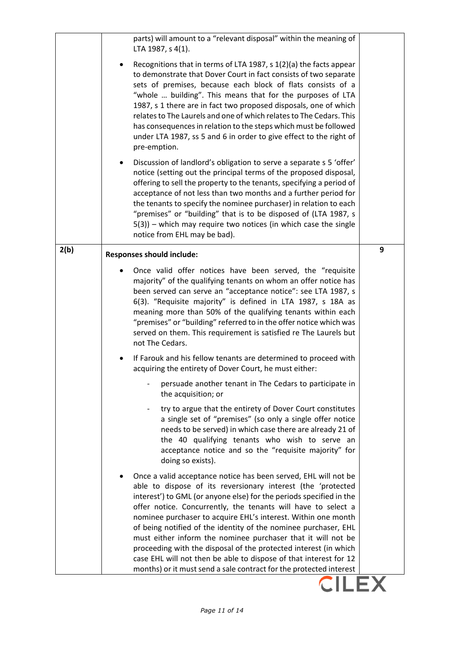|      | parts) will amount to a "relevant disposal" within the meaning of<br>LTA 1987, s 4(1).                                                                                                                                                                                                                                                                                                                                                                                                                                                                                                                                                                                                     |   |
|------|--------------------------------------------------------------------------------------------------------------------------------------------------------------------------------------------------------------------------------------------------------------------------------------------------------------------------------------------------------------------------------------------------------------------------------------------------------------------------------------------------------------------------------------------------------------------------------------------------------------------------------------------------------------------------------------------|---|
|      | Recognitions that in terms of LTA 1987, s 1(2)(a) the facts appear<br>to demonstrate that Dover Court in fact consists of two separate<br>sets of premises, because each block of flats consists of a<br>"whole  building". This means that for the purposes of LTA<br>1987, s 1 there are in fact two proposed disposals, one of which<br>relates to The Laurels and one of which relates to The Cedars. This<br>has consequences in relation to the steps which must be followed<br>under LTA 1987, ss 5 and 6 in order to give effect to the right of<br>pre-emption.                                                                                                                   |   |
|      | Discussion of landlord's obligation to serve a separate s 5 'offer'<br>notice (setting out the principal terms of the proposed disposal,<br>offering to sell the property to the tenants, specifying a period of<br>acceptance of not less than two months and a further period for<br>the tenants to specify the nominee purchaser) in relation to each<br>"premises" or "building" that is to be disposed of (LTA 1987, s<br>$5(3)$ ) – which may require two notices (in which case the single<br>notice from EHL may be bad).                                                                                                                                                          |   |
| 2(b) | <b>Responses should include:</b>                                                                                                                                                                                                                                                                                                                                                                                                                                                                                                                                                                                                                                                           | 9 |
|      | Once valid offer notices have been served, the "requisite<br>majority" of the qualifying tenants on whom an offer notice has<br>been served can serve an "acceptance notice": see LTA 1987, s<br>6(3). "Requisite majority" is defined in LTA 1987, s 18A as<br>meaning more than 50% of the qualifying tenants within each<br>"premises" or "building" referred to in the offer notice which was<br>served on them. This requirement is satisfied re The Laurels but<br>not The Cedars.                                                                                                                                                                                                   |   |
|      | If Farouk and his fellow tenants are determined to proceed with<br>acquiring the entirety of Dover Court, he must either:                                                                                                                                                                                                                                                                                                                                                                                                                                                                                                                                                                  |   |
|      | persuade another tenant in The Cedars to participate in<br>the acquisition; or                                                                                                                                                                                                                                                                                                                                                                                                                                                                                                                                                                                                             |   |
|      | try to argue that the entirety of Dover Court constitutes<br>a single set of "premises" (so only a single offer notice<br>needs to be served) in which case there are already 21 of<br>the 40 qualifying tenants who wish to serve an<br>acceptance notice and so the "requisite majority" for<br>doing so exists).                                                                                                                                                                                                                                                                                                                                                                        |   |
|      | Once a valid acceptance notice has been served, EHL will not be<br>able to dispose of its reversionary interest (the 'protected<br>interest') to GML (or anyone else) for the periods specified in the<br>offer notice. Concurrently, the tenants will have to select a<br>nominee purchaser to acquire EHL's interest. Within one month<br>of being notified of the identity of the nominee purchaser, EHL<br>must either inform the nominee purchaser that it will not be<br>proceeding with the disposal of the protected interest (in which<br>case EHL will not then be able to dispose of that interest for 12<br>months) or it must send a sale contract for the protected interest |   |
|      |                                                                                                                                                                                                                                                                                                                                                                                                                                                                                                                                                                                                                                                                                            |   |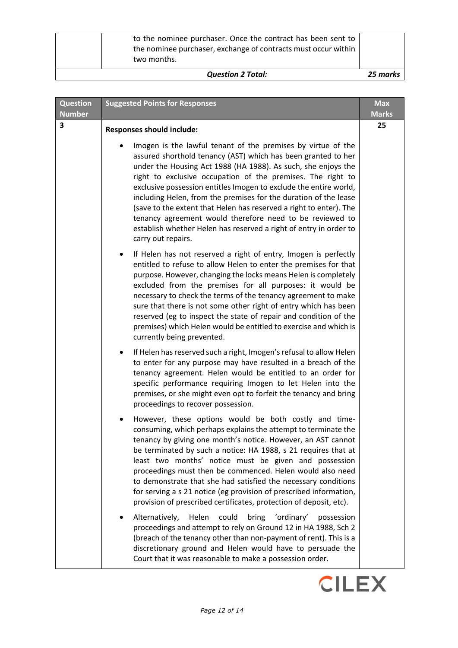| <b>Question 2 Total:</b>                                                                                                                      | 25 marks |
|-----------------------------------------------------------------------------------------------------------------------------------------------|----------|
| to the nominee purchaser. Once the contract has been sent to<br>the nominee purchaser, exchange of contracts must occur within<br>two months. |          |

| <b>Question</b><br><b>Number</b> | <b>Suggested Points for Responses</b>                                                                                                                                                                                                                                                                                                                                                                                                                                                                                                                                                                                               | <b>Max</b><br><b>Marks</b> |
|----------------------------------|-------------------------------------------------------------------------------------------------------------------------------------------------------------------------------------------------------------------------------------------------------------------------------------------------------------------------------------------------------------------------------------------------------------------------------------------------------------------------------------------------------------------------------------------------------------------------------------------------------------------------------------|----------------------------|
| 3                                | <b>Responses should include:</b>                                                                                                                                                                                                                                                                                                                                                                                                                                                                                                                                                                                                    | 25                         |
|                                  | Imogen is the lawful tenant of the premises by virtue of the<br>assured shorthold tenancy (AST) which has been granted to her<br>under the Housing Act 1988 (HA 1988). As such, she enjoys the<br>right to exclusive occupation of the premises. The right to<br>exclusive possession entitles Imogen to exclude the entire world,<br>including Helen, from the premises for the duration of the lease<br>(save to the extent that Helen has reserved a right to enter). The<br>tenancy agreement would therefore need to be reviewed to<br>establish whether Helen has reserved a right of entry in order to<br>carry out repairs. |                            |
|                                  | If Helen has not reserved a right of entry, Imogen is perfectly<br>$\bullet$<br>entitled to refuse to allow Helen to enter the premises for that<br>purpose. However, changing the locks means Helen is completely<br>excluded from the premises for all purposes: it would be<br>necessary to check the terms of the tenancy agreement to make<br>sure that there is not some other right of entry which has been<br>reserved (eg to inspect the state of repair and condition of the<br>premises) which Helen would be entitled to exercise and which is<br>currently being prevented.                                            |                            |
|                                  | If Helen has reserved such a right, Imogen's refusal to allow Helen<br>$\bullet$<br>to enter for any purpose may have resulted in a breach of the<br>tenancy agreement. Helen would be entitled to an order for<br>specific performance requiring Imogen to let Helen into the<br>premises, or she might even opt to forfeit the tenancy and bring<br>proceedings to recover possession.                                                                                                                                                                                                                                            |                            |
|                                  | However, these options would be both costly and time-<br>consuming, which perhaps explains the attempt to terminate the<br>tenancy by giving one month's notice. However, an AST cannot<br>be terminated by such a notice: HA 1988, s 21 requires that at<br>least two months' notice must be given and possession<br>proceedings must then be commenced. Helen would also need<br>to demonstrate that she had satisfied the necessary conditions<br>for serving a s 21 notice (eg provision of prescribed information,<br>provision of prescribed certificates, protection of deposit, etc).                                       |                            |
|                                  | Alternatively,<br>Helen<br>bring<br>'ordinary'<br>could<br>possession<br>proceedings and attempt to rely on Ground 12 in HA 1988, Sch 2<br>(breach of the tenancy other than non-payment of rent). This is a<br>discretionary ground and Helen would have to persuade the<br>Court that it was reasonable to make a possession order.                                                                                                                                                                                                                                                                                               |                            |

**CILEX**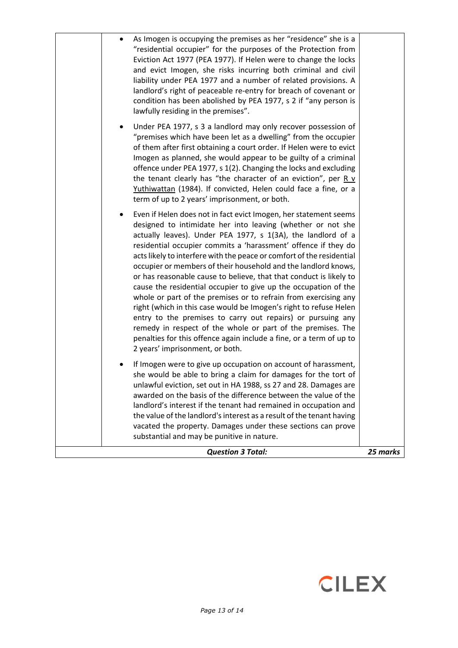| As Imogen is occupying the premises as her "residence" she is a<br>"residential occupier" for the purposes of the Protection from<br>Eviction Act 1977 (PEA 1977). If Helen were to change the locks<br>and evict Imogen, she risks incurring both criminal and civil<br>liability under PEA 1977 and a number of related provisions. A<br>landlord's right of peaceable re-entry for breach of covenant or<br>condition has been abolished by PEA 1977, s 2 if "any person is<br>lawfully residing in the premises".<br>Under PEA 1977, s 3 a landlord may only recover possession of<br>$\bullet$<br>"premises which have been let as a dwelling" from the occupier<br>of them after first obtaining a court order. If Helen were to evict<br>Imogen as planned, she would appear to be guilty of a criminal<br>offence under PEA 1977, s 1(2). Changing the locks and excluding<br>the tenant clearly has "the character of an eviction", per $R \nu$<br>Yuthiwattan (1984). If convicted, Helen could face a fine, or a<br>term of up to 2 years' imprisonment, or both. |          |
|------------------------------------------------------------------------------------------------------------------------------------------------------------------------------------------------------------------------------------------------------------------------------------------------------------------------------------------------------------------------------------------------------------------------------------------------------------------------------------------------------------------------------------------------------------------------------------------------------------------------------------------------------------------------------------------------------------------------------------------------------------------------------------------------------------------------------------------------------------------------------------------------------------------------------------------------------------------------------------------------------------------------------------------------------------------------------|----------|
| Even if Helen does not in fact evict Imogen, her statement seems<br>٠<br>designed to intimidate her into leaving (whether or not she<br>actually leaves). Under PEA 1977, s 1(3A), the landlord of a<br>residential occupier commits a 'harassment' offence if they do<br>acts likely to interfere with the peace or comfort of the residential<br>occupier or members of their household and the landlord knows,<br>or has reasonable cause to believe, that that conduct is likely to<br>cause the residential occupier to give up the occupation of the<br>whole or part of the premises or to refrain from exercising any<br>right (which in this case would be Imogen's right to refuse Helen<br>entry to the premises to carry out repairs) or pursuing any<br>remedy in respect of the whole or part of the premises. The<br>penalties for this offence again include a fine, or a term of up to<br>2 years' imprisonment, or both.                                                                                                                                   |          |
| If Imogen were to give up occupation on account of harassment,<br>she would be able to bring a claim for damages for the tort of<br>unlawful eviction, set out in HA 1988, ss 27 and 28. Damages are<br>awarded on the basis of the difference between the value of the<br>landlord's interest if the tenant had remained in occupation and<br>the value of the landlord's interest as a result of the tenant having<br>vacated the property. Damages under these sections can prove<br>substantial and may be punitive in nature.                                                                                                                                                                                                                                                                                                                                                                                                                                                                                                                                           |          |
| <b>Question 3 Total:</b>                                                                                                                                                                                                                                                                                                                                                                                                                                                                                                                                                                                                                                                                                                                                                                                                                                                                                                                                                                                                                                                     | 25 marks |